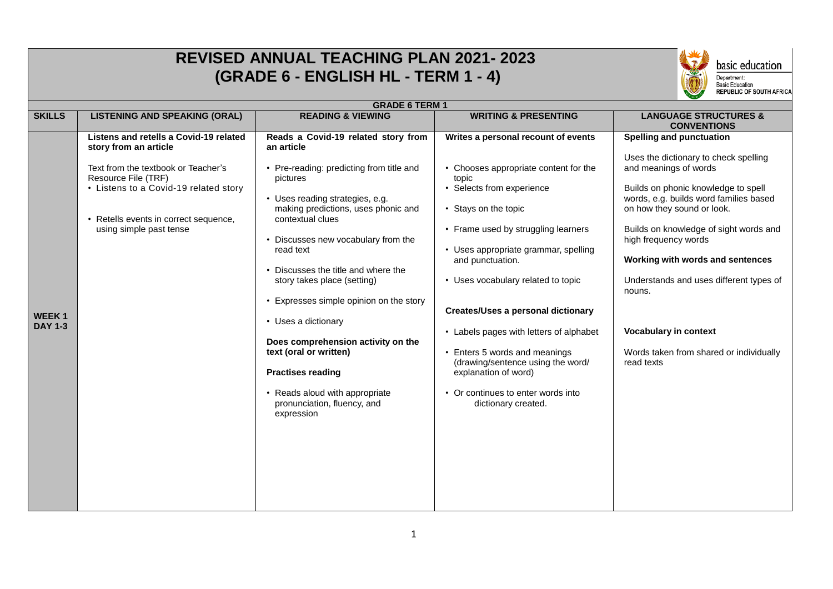|                                | <b>REVISED ANNUAL TEACHING PLAN 2021-2023</b><br>basic education<br>(GRADE 6 - ENGLISH HL - TERM 1 - 4)<br>Department:<br>Basic Education<br>REPUBLIC OF SOUTH AFRICA                                                                      |                                                                                                                                                                                                                                                                                                                                                                                                                                                                                                                                                                                |                                                                                                                                                                                                                                                                                                                                                                                                                                                                                                                                        |                                                                                                                                                                                                                                                                                                                                                                                                                                                                      |  |  |  |  |
|--------------------------------|--------------------------------------------------------------------------------------------------------------------------------------------------------------------------------------------------------------------------------------------|--------------------------------------------------------------------------------------------------------------------------------------------------------------------------------------------------------------------------------------------------------------------------------------------------------------------------------------------------------------------------------------------------------------------------------------------------------------------------------------------------------------------------------------------------------------------------------|----------------------------------------------------------------------------------------------------------------------------------------------------------------------------------------------------------------------------------------------------------------------------------------------------------------------------------------------------------------------------------------------------------------------------------------------------------------------------------------------------------------------------------------|----------------------------------------------------------------------------------------------------------------------------------------------------------------------------------------------------------------------------------------------------------------------------------------------------------------------------------------------------------------------------------------------------------------------------------------------------------------------|--|--|--|--|
|                                | <b>GRADE 6 TERM 1</b>                                                                                                                                                                                                                      |                                                                                                                                                                                                                                                                                                                                                                                                                                                                                                                                                                                |                                                                                                                                                                                                                                                                                                                                                                                                                                                                                                                                        |                                                                                                                                                                                                                                                                                                                                                                                                                                                                      |  |  |  |  |
| <b>SKILLS</b>                  | <b>LISTENING AND SPEAKING (ORAL)</b>                                                                                                                                                                                                       | <b>READING &amp; VIEWING</b>                                                                                                                                                                                                                                                                                                                                                                                                                                                                                                                                                   | <b>WRITING &amp; PRESENTING</b>                                                                                                                                                                                                                                                                                                                                                                                                                                                                                                        | <b>LANGUAGE STRUCTURES &amp;</b><br><b>CONVENTIONS</b>                                                                                                                                                                                                                                                                                                                                                                                                               |  |  |  |  |
| <b>WEEK1</b><br><b>DAY 1-3</b> | Listens and retells a Covid-19 related<br>story from an article<br>Text from the textbook or Teacher's<br>Resource File (TRF)<br>• Listens to a Covid-19 related story<br>• Retells events in correct sequence,<br>using simple past tense | Reads a Covid-19 related story from<br>an article<br>• Pre-reading: predicting from title and<br>pictures<br>• Uses reading strategies, e.g.<br>making predictions, uses phonic and<br>contextual clues<br>• Discusses new vocabulary from the<br>read text<br>• Discusses the title and where the<br>story takes place (setting)<br>• Expresses simple opinion on the story<br>• Uses a dictionary<br>Does comprehension activity on the<br>text (oral or written)<br><b>Practises reading</b><br>• Reads aloud with appropriate<br>pronunciation, fluency, and<br>expression | Writes a personal recount of events<br>• Chooses appropriate content for the<br>topic<br>• Selects from experience<br>• Stays on the topic<br>• Frame used by struggling learners<br>• Uses appropriate grammar, spelling<br>and punctuation.<br>• Uses vocabulary related to topic<br><b>Creates/Uses a personal dictionary</b><br>• Labels pages with letters of alphabet<br>• Enters 5 words and meanings<br>(drawing/sentence using the word/<br>explanation of word)<br>• Or continues to enter words into<br>dictionary created. | <b>Spelling and punctuation</b><br>Uses the dictionary to check spelling<br>and meanings of words<br>Builds on phonic knowledge to spell<br>words, e.g. builds word families based<br>on how they sound or look.<br>Builds on knowledge of sight words and<br>high frequency words<br>Working with words and sentences<br>Understands and uses different types of<br>nouns.<br><b>Vocabulary in context</b><br>Words taken from shared or individually<br>read texts |  |  |  |  |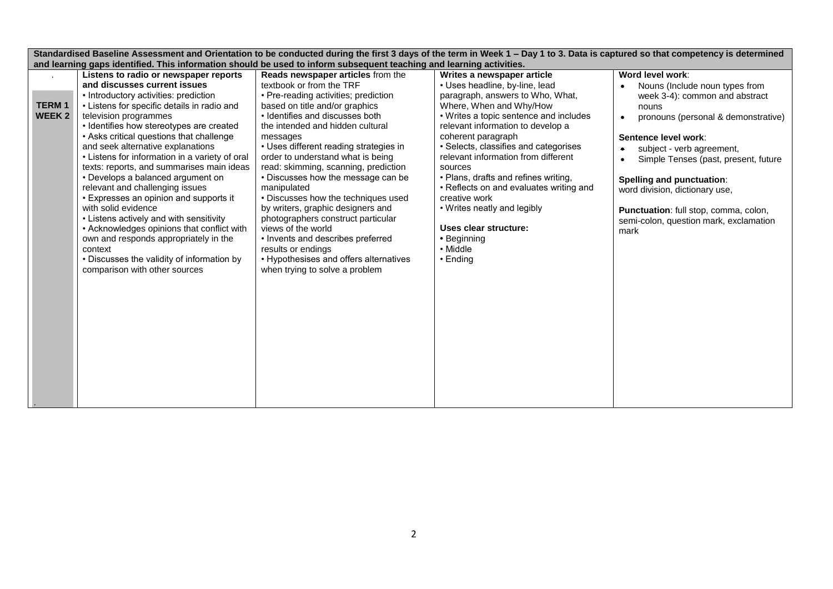|                        | Standardised Baseline Assessment and Orientation to be conducted during the first 3 days of the term in Week 1 - Day 1 to 3. Data is captured so that competency is determined                                                                                                                                                                                                                                                                                                                                                                                                                                                                                                                                 |                                                                                                                                                                                                                                                                                                                                                                                                                                                                                                                                                                                                                      |                                                                                                                                                                                                                                                                                                                                                                                                                                                                      |                                                                                                                                                                                                                                                                                                                                       |  |  |  |  |
|------------------------|----------------------------------------------------------------------------------------------------------------------------------------------------------------------------------------------------------------------------------------------------------------------------------------------------------------------------------------------------------------------------------------------------------------------------------------------------------------------------------------------------------------------------------------------------------------------------------------------------------------------------------------------------------------------------------------------------------------|----------------------------------------------------------------------------------------------------------------------------------------------------------------------------------------------------------------------------------------------------------------------------------------------------------------------------------------------------------------------------------------------------------------------------------------------------------------------------------------------------------------------------------------------------------------------------------------------------------------------|----------------------------------------------------------------------------------------------------------------------------------------------------------------------------------------------------------------------------------------------------------------------------------------------------------------------------------------------------------------------------------------------------------------------------------------------------------------------|---------------------------------------------------------------------------------------------------------------------------------------------------------------------------------------------------------------------------------------------------------------------------------------------------------------------------------------|--|--|--|--|
|                        | and learning gaps identified. This information should be used to inform subsequent teaching and learning activities.                                                                                                                                                                                                                                                                                                                                                                                                                                                                                                                                                                                           |                                                                                                                                                                                                                                                                                                                                                                                                                                                                                                                                                                                                                      |                                                                                                                                                                                                                                                                                                                                                                                                                                                                      |                                                                                                                                                                                                                                                                                                                                       |  |  |  |  |
|                        | Listens to radio or newspaper reports                                                                                                                                                                                                                                                                                                                                                                                                                                                                                                                                                                                                                                                                          | Reads newspaper articles from the                                                                                                                                                                                                                                                                                                                                                                                                                                                                                                                                                                                    | Writes a newspaper article                                                                                                                                                                                                                                                                                                                                                                                                                                           | Word level work:                                                                                                                                                                                                                                                                                                                      |  |  |  |  |
|                        | and discusses current issues                                                                                                                                                                                                                                                                                                                                                                                                                                                                                                                                                                                                                                                                                   | textbook or from the TRF                                                                                                                                                                                                                                                                                                                                                                                                                                                                                                                                                                                             | • Uses headline, by-line, lead                                                                                                                                                                                                                                                                                                                                                                                                                                       | Nouns (Include noun types from                                                                                                                                                                                                                                                                                                        |  |  |  |  |
| <b>TERM1</b><br>WEEK 2 | • Introductory activities: prediction<br>• Listens for specific details in radio and<br>television programmes<br>• Identifies how stereotypes are created<br>• Asks critical questions that challenge<br>and seek alternative explanations<br>• Listens for information in a variety of oral<br>texts: reports, and summarises main ideas<br>• Develops a balanced argument on<br>relevant and challenging issues<br>• Expresses an opinion and supports it<br>with solid evidence<br>• Listens actively and with sensitivity<br>• Acknowledges opinions that conflict with<br>own and responds appropriately in the<br>context<br>• Discusses the validity of information by<br>comparison with other sources | • Pre-reading activities; prediction<br>based on title and/or graphics<br>• Identifies and discusses both<br>the intended and hidden cultural<br>messages<br>• Uses different reading strategies in<br>order to understand what is being<br>read: skimming, scanning, prediction<br>• Discusses how the message can be<br>manipulated<br>• Discusses how the techniques used<br>by writers, graphic designers and<br>photographers construct particular<br>views of the world<br>• Invents and describes preferred<br>results or endings<br>• Hypothesises and offers alternatives<br>when trying to solve a problem | paragraph, answers to Who, What,<br>Where, When and Why/How<br>• Writes a topic sentence and includes<br>relevant information to develop a<br>coherent paragraph<br>· Selects, classifies and categorises<br>relevant information from different<br>sources<br>• Plans, drafts and refines writing,<br>• Reflects on and evaluates writing and<br>creative work<br>• Writes neatly and legibly<br>Uses clear structure:<br>• Beginning<br>• Middle<br>$\cdot$ Ending | week 3-4): common and abstract<br>nouns<br>pronouns (personal & demonstrative)<br>Sentence level work:<br>subject - verb agreement,<br>Simple Tenses (past, present, future<br>Spelling and punctuation:<br>word division, dictionary use,<br>Punctuation: full stop, comma, colon,<br>semi-colon, question mark, exclamation<br>mark |  |  |  |  |
|                        |                                                                                                                                                                                                                                                                                                                                                                                                                                                                                                                                                                                                                                                                                                                |                                                                                                                                                                                                                                                                                                                                                                                                                                                                                                                                                                                                                      |                                                                                                                                                                                                                                                                                                                                                                                                                                                                      |                                                                                                                                                                                                                                                                                                                                       |  |  |  |  |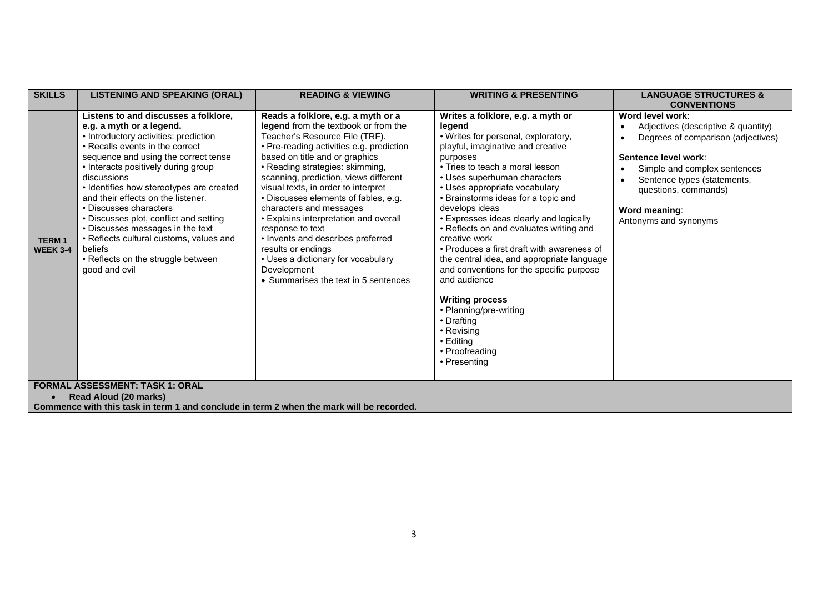| <b>SKILLS</b>                   | <b>LISTENING AND SPEAKING (ORAL)</b>                                                                                                                                                                                                                                                                                                                                                                                                                                                                                                              | <b>READING &amp; VIEWING</b>                                                                                                                                                                                                                                                                                                                                                                                                                                                                                                                                                                          | <b>WRITING &amp; PRESENTING</b>                                                                                                                                                                                                                                                                                                                                                                                                                                                                                                                                                                                                                                                                | <b>LANGUAGE STRUCTURES &amp;</b>                                                                                                                                                                                                                       |
|---------------------------------|---------------------------------------------------------------------------------------------------------------------------------------------------------------------------------------------------------------------------------------------------------------------------------------------------------------------------------------------------------------------------------------------------------------------------------------------------------------------------------------------------------------------------------------------------|-------------------------------------------------------------------------------------------------------------------------------------------------------------------------------------------------------------------------------------------------------------------------------------------------------------------------------------------------------------------------------------------------------------------------------------------------------------------------------------------------------------------------------------------------------------------------------------------------------|------------------------------------------------------------------------------------------------------------------------------------------------------------------------------------------------------------------------------------------------------------------------------------------------------------------------------------------------------------------------------------------------------------------------------------------------------------------------------------------------------------------------------------------------------------------------------------------------------------------------------------------------------------------------------------------------|--------------------------------------------------------------------------------------------------------------------------------------------------------------------------------------------------------------------------------------------------------|
|                                 |                                                                                                                                                                                                                                                                                                                                                                                                                                                                                                                                                   |                                                                                                                                                                                                                                                                                                                                                                                                                                                                                                                                                                                                       |                                                                                                                                                                                                                                                                                                                                                                                                                                                                                                                                                                                                                                                                                                | <b>CONVENTIONS</b>                                                                                                                                                                                                                                     |
| <b>TERM1</b><br><b>WEEK 3-4</b> | Listens to and discusses a folklore,<br>e.g. a myth or a legend.<br>• Introductory activities: prediction<br>• Recalls events in the correct<br>sequence and using the correct tense<br>• Interacts positively during group<br>discussions<br>• Identifies how stereotypes are created<br>and their effects on the listener.<br>• Discusses characters<br>• Discusses plot, conflict and setting<br>• Discusses messages in the text<br>• Reflects cultural customs, values and<br>beliefs<br>• Reflects on the struggle between<br>good and evil | Reads a folklore, e.g. a myth or a<br>legend from the textbook or from the<br>Teacher's Resource File (TRF).<br>• Pre-reading activities e.g. prediction<br>based on title and or graphics<br>• Reading strategies: skimming,<br>scanning, prediction, views different<br>visual texts, in order to interpret<br>• Discusses elements of fables, e.g.<br>characters and messages<br>• Explains interpretation and overall<br>response to text<br>• Invents and describes preferred<br>results or endings<br>• Uses a dictionary for vocabulary<br>Development<br>• Summarises the text in 5 sentences | Writes a folklore, e.g. a myth or<br>legend<br>• Writes for personal, exploratory,<br>playful, imaginative and creative<br>purposes<br>• Tries to teach a moral lesson<br>• Uses superhuman characters<br>• Uses appropriate vocabulary<br>• Brainstorms ideas for a topic and<br>develops ideas<br>• Expresses ideas clearly and logically<br>• Reflects on and evaluates writing and<br>creative work<br>• Produces a first draft with awareness of<br>the central idea, and appropriate language<br>and conventions for the specific purpose<br>and audience<br><b>Writing process</b><br>• Planning/pre-writing<br>• Drafting<br>• Revising<br>• Editing<br>• Proofreading<br>• Presenting | Word level work:<br>Adjectives (descriptive & quantity)<br>Degrees of comparison (adjectives)<br>Sentence level work:<br>Simple and complex sentences<br>Sentence types (statements,<br>questions, commands)<br>Word meaning:<br>Antonyms and synonyms |
|                                 | <b>FORMAL ASSESSMENT: TASK 1: ORAL</b>                                                                                                                                                                                                                                                                                                                                                                                                                                                                                                            |                                                                                                                                                                                                                                                                                                                                                                                                                                                                                                                                                                                                       |                                                                                                                                                                                                                                                                                                                                                                                                                                                                                                                                                                                                                                                                                                |                                                                                                                                                                                                                                                        |
|                                 | Read Aloud (20 marks)                                                                                                                                                                                                                                                                                                                                                                                                                                                                                                                             |                                                                                                                                                                                                                                                                                                                                                                                                                                                                                                                                                                                                       |                                                                                                                                                                                                                                                                                                                                                                                                                                                                                                                                                                                                                                                                                                |                                                                                                                                                                                                                                                        |
|                                 | Commence with this task in term 1 and conclude in term 2 when the mark will be recorded.                                                                                                                                                                                                                                                                                                                                                                                                                                                          |                                                                                                                                                                                                                                                                                                                                                                                                                                                                                                                                                                                                       |                                                                                                                                                                                                                                                                                                                                                                                                                                                                                                                                                                                                                                                                                                |                                                                                                                                                                                                                                                        |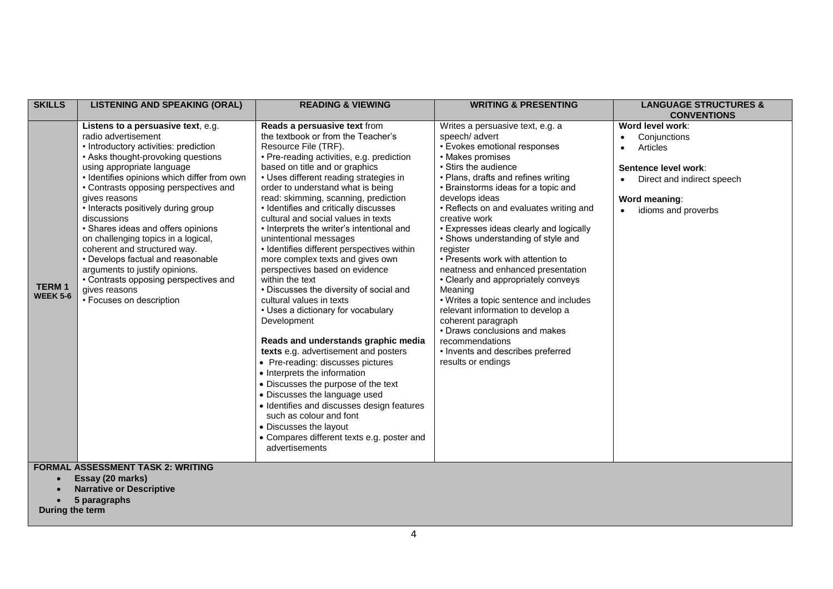| <b>SKILLS</b>                   | <b>LISTENING AND SPEAKING (ORAL)</b>                                                                                                                                                                                                                                                                                                                                                                                                                                                                                                                                                                            | <b>READING &amp; VIEWING</b>                                                                                                                                                                                                                                                                                                                                                                                                                                                                                                                                                                                                                                                                                                                                                                                                                                                                                                                                                                                                                                                                                              | <b>WRITING &amp; PRESENTING</b>                                                                                                                                                                                                                                                                                                                                                                                                                                                                                                                                                                                                                                                                                                          | <b>LANGUAGE STRUCTURES &amp;</b><br><b>CONVENTIONS</b>                                                                                                                            |
|---------------------------------|-----------------------------------------------------------------------------------------------------------------------------------------------------------------------------------------------------------------------------------------------------------------------------------------------------------------------------------------------------------------------------------------------------------------------------------------------------------------------------------------------------------------------------------------------------------------------------------------------------------------|---------------------------------------------------------------------------------------------------------------------------------------------------------------------------------------------------------------------------------------------------------------------------------------------------------------------------------------------------------------------------------------------------------------------------------------------------------------------------------------------------------------------------------------------------------------------------------------------------------------------------------------------------------------------------------------------------------------------------------------------------------------------------------------------------------------------------------------------------------------------------------------------------------------------------------------------------------------------------------------------------------------------------------------------------------------------------------------------------------------------------|------------------------------------------------------------------------------------------------------------------------------------------------------------------------------------------------------------------------------------------------------------------------------------------------------------------------------------------------------------------------------------------------------------------------------------------------------------------------------------------------------------------------------------------------------------------------------------------------------------------------------------------------------------------------------------------------------------------------------------------|-----------------------------------------------------------------------------------------------------------------------------------------------------------------------------------|
| <b>TERM1</b><br><b>WEEK 5-6</b> | Listens to a persuasive text, e.g.<br>radio advertisement<br>• Introductory activities: prediction<br>• Asks thought-provoking questions<br>using appropriate language<br>· Identifies opinions which differ from own<br>• Contrasts opposing perspectives and<br>gives reasons<br>• Interacts positively during group<br>discussions<br>• Shares ideas and offers opinions<br>on challenging topics in a logical,<br>coherent and structured way.<br>• Develops factual and reasonable<br>arguments to justify opinions.<br>• Contrasts opposing perspectives and<br>gives reasons<br>• Focuses on description | Reads a persuasive text from<br>the textbook or from the Teacher's<br>Resource File (TRF).<br>· Pre-reading activities, e.g. prediction<br>based on title and or graphics<br>• Uses different reading strategies in<br>order to understand what is being<br>read: skimming, scanning, prediction<br>• Identifies and critically discusses<br>cultural and social values in texts<br>• Interprets the writer's intentional and<br>unintentional messages<br>• Identifies different perspectives within<br>more complex texts and gives own<br>perspectives based on evidence<br>within the text<br>• Discusses the diversity of social and<br>cultural values in texts<br>• Uses a dictionary for vocabulary<br>Development<br>Reads and understands graphic media<br>texts e.g. advertisement and posters<br>• Pre-reading: discusses pictures<br>• Interprets the information<br>• Discusses the purpose of the text<br>• Discusses the language used<br>• Identifies and discusses design features<br>such as colour and font<br>• Discusses the layout<br>• Compares different texts e.g. poster and<br>advertisements | Writes a persuasive text, e.g. a<br>speech/ advert<br>• Evokes emotional responses<br>• Makes promises<br>· Stirs the audience<br>• Plans, drafts and refines writing<br>• Brainstorms ideas for a topic and<br>develops ideas<br>• Reflects on and evaluates writing and<br>creative work<br>• Expresses ideas clearly and logically<br>• Shows understanding of style and<br>register<br>• Presents work with attention to<br>neatness and enhanced presentation<br>• Clearly and appropriately conveys<br>Meaning<br>• Writes a topic sentence and includes<br>relevant information to develop a<br>coherent paragraph<br>• Draws conclusions and makes<br>recommendations<br>• Invents and describes preferred<br>results or endings | Word level work:<br>Conjunctions<br>$\bullet$<br>Articles<br>$\bullet$<br>Sentence level work:<br>Direct and indirect speech<br>$\bullet$<br>Word meaning:<br>idioms and proverbs |
|                                 | <b>FORMAL ASSESSMENT TASK 2: WRITING</b><br>Essay (20 marks)<br><b>Narrative or Descriptive</b>                                                                                                                                                                                                                                                                                                                                                                                                                                                                                                                 |                                                                                                                                                                                                                                                                                                                                                                                                                                                                                                                                                                                                                                                                                                                                                                                                                                                                                                                                                                                                                                                                                                                           |                                                                                                                                                                                                                                                                                                                                                                                                                                                                                                                                                                                                                                                                                                                                          |                                                                                                                                                                                   |
|                                 | 5 paragraphs                                                                                                                                                                                                                                                                                                                                                                                                                                                                                                                                                                                                    |                                                                                                                                                                                                                                                                                                                                                                                                                                                                                                                                                                                                                                                                                                                                                                                                                                                                                                                                                                                                                                                                                                                           |                                                                                                                                                                                                                                                                                                                                                                                                                                                                                                                                                                                                                                                                                                                                          |                                                                                                                                                                                   |

**During the term**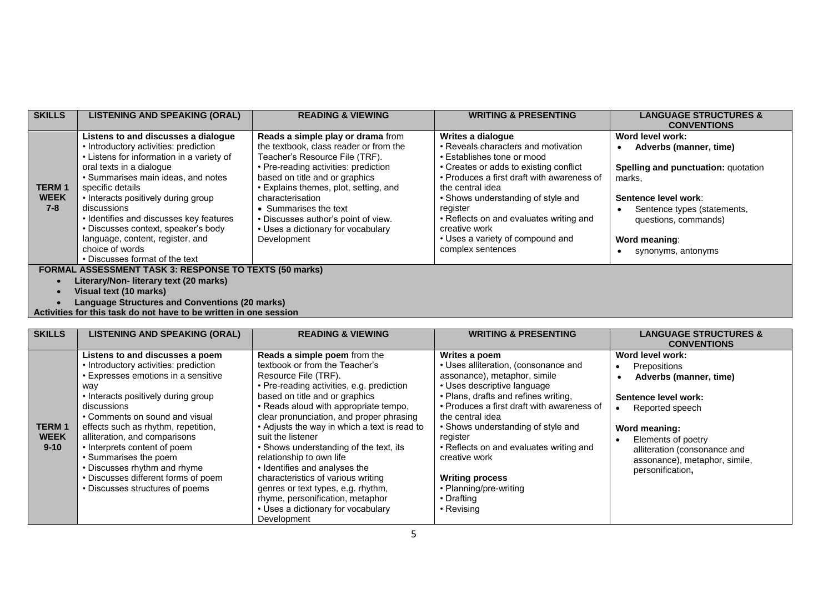| <b>SKILLS</b>                          | <b>LISTENING AND SPEAKING (ORAL)</b>                                                                                                                                                                                                                                                                                                                                                                                                             | <b>READING &amp; VIEWING</b>                                                                                                                                                                                                                                                                                                                                              | <b>WRITING &amp; PRESENTING</b>                                                                                                                                                                                                                                                                                                                                           | <b>LANGUAGE STRUCTURES &amp;</b>                                                                                                                                                                                  |  |  |  |
|----------------------------------------|--------------------------------------------------------------------------------------------------------------------------------------------------------------------------------------------------------------------------------------------------------------------------------------------------------------------------------------------------------------------------------------------------------------------------------------------------|---------------------------------------------------------------------------------------------------------------------------------------------------------------------------------------------------------------------------------------------------------------------------------------------------------------------------------------------------------------------------|---------------------------------------------------------------------------------------------------------------------------------------------------------------------------------------------------------------------------------------------------------------------------------------------------------------------------------------------------------------------------|-------------------------------------------------------------------------------------------------------------------------------------------------------------------------------------------------------------------|--|--|--|
|                                        |                                                                                                                                                                                                                                                                                                                                                                                                                                                  |                                                                                                                                                                                                                                                                                                                                                                           |                                                                                                                                                                                                                                                                                                                                                                           | <b>CONVENTIONS</b>                                                                                                                                                                                                |  |  |  |
| <b>TERM1</b><br><b>WEEK</b><br>$7 - 8$ | Listens to and discusses a dialogue<br>• Introductory activities: prediction<br>• Listens for information in a variety of<br>oral texts in a dialogue<br>• Summarises main ideas, and notes<br>specific details<br>• Interacts positively during group<br>discussions<br>• Identifies and discusses key features<br>• Discusses context, speaker's body<br>language, content, register, and<br>choice of words<br>• Discusses format of the text | Reads a simple play or drama from<br>the textbook, class reader or from the<br>Teacher's Resource File (TRF).<br>• Pre-reading activities: prediction<br>based on title and or graphics<br>• Explains themes, plot, setting, and<br>characterisation<br>• Summarises the text<br>• Discusses author's point of view.<br>• Uses a dictionary for vocabulary<br>Development | Writes a dialogue<br>• Reveals characters and motivation<br>• Establishes tone or mood<br>• Creates or adds to existing conflict<br>• Produces a first draft with awareness of<br>the central idea<br>• Shows understanding of style and<br>register<br>• Reflects on and evaluates writing and<br>creative work<br>• Uses a variety of compound and<br>complex sentences | Word level work:<br>Adverbs (manner, time)<br>Spelling and punctuation: quotation<br>marks,<br>Sentence level work:<br>Sentence types (statements,<br>questions, commands)<br>Word meaning:<br>synonyms, antonyms |  |  |  |
|                                        | <b>FORMAL ASSESSMENT TASK 3: RESPONSE TO TEXTS (50 marks)</b>                                                                                                                                                                                                                                                                                                                                                                                    |                                                                                                                                                                                                                                                                                                                                                                           |                                                                                                                                                                                                                                                                                                                                                                           |                                                                                                                                                                                                                   |  |  |  |

- **Literary/Non- literary text (20 marks)**
	- **Visual text (10 marks)**
- **Language Structures and Conventions (20 marks)**

| Activities for this task do not have to be written in one session |  |  |  |  |  |
|-------------------------------------------------------------------|--|--|--|--|--|
|                                                                   |  |  |  |  |  |

| <b>SKILLS</b>                           | <b>LISTENING AND SPEAKING (ORAL)</b>                                                                                                                                                                                                                                                                                                                                                                                                                      | <b>READING &amp; VIEWING</b>                                                                                                                                                                                                                                                                                                                                                                                                                                                                                                                                                                                | <b>WRITING &amp; PRESENTING</b>                                                                                                                                                                                                                                                                                                                                                                                              | <b>LANGUAGE STRUCTURES &amp;</b><br><b>CONVENTIONS</b>                                                                                                                                                                            |
|-----------------------------------------|-----------------------------------------------------------------------------------------------------------------------------------------------------------------------------------------------------------------------------------------------------------------------------------------------------------------------------------------------------------------------------------------------------------------------------------------------------------|-------------------------------------------------------------------------------------------------------------------------------------------------------------------------------------------------------------------------------------------------------------------------------------------------------------------------------------------------------------------------------------------------------------------------------------------------------------------------------------------------------------------------------------------------------------------------------------------------------------|------------------------------------------------------------------------------------------------------------------------------------------------------------------------------------------------------------------------------------------------------------------------------------------------------------------------------------------------------------------------------------------------------------------------------|-----------------------------------------------------------------------------------------------------------------------------------------------------------------------------------------------------------------------------------|
| <b>TERM1</b><br><b>WEEK</b><br>$9 - 10$ | Listens to and discusses a poem<br>• Introductory activities: prediction<br>• Expresses emotions in a sensitive<br>way<br>• Interacts positively during group<br>discussions<br>• Comments on sound and visual<br>effects such as rhythm, repetition,<br>alliteration, and comparisons<br>• Interprets content of poem<br>• Summarises the poem<br>• Discusses rhythm and rhyme<br>• Discusses different forms of poem<br>• Discusses structures of poems | Reads a simple poem from the<br>textbook or from the Teacher's<br>Resource File (TRF).<br>• Pre-reading activities, e.g. prediction<br>based on title and or graphics<br>• Reads aloud with appropriate tempo,<br>clear pronunciation, and proper phrasing<br>• Adjusts the way in which a text is read to<br>suit the listener<br>• Shows understanding of the text, its<br>relationship to own life<br>• Identifies and analyses the<br>characteristics of various writing<br>genres or text types, e.g. rhythm,<br>rhyme, personification, metaphor<br>• Uses a dictionary for vocabulary<br>Development | Writes a poem<br>• Uses alliteration, (consonance and<br>assonance), metaphor, simile<br>• Uses descriptive language<br>• Plans, drafts and refines writing,<br>• Produces a first draft with awareness of<br>the central idea<br>• Shows understanding of style and<br>register<br>• Reflects on and evaluates writing and<br>creative work<br><b>Writing process</b><br>• Planning/pre-writing<br>• Drafting<br>• Revising | Word level work:<br>Prepositions<br>Adverbs (manner, time)<br>Sentence level work:<br>Reported speech<br>Word meaning:<br>Elements of poetry<br>alliteration (consonance and<br>assonance), metaphor, simile,<br>personification, |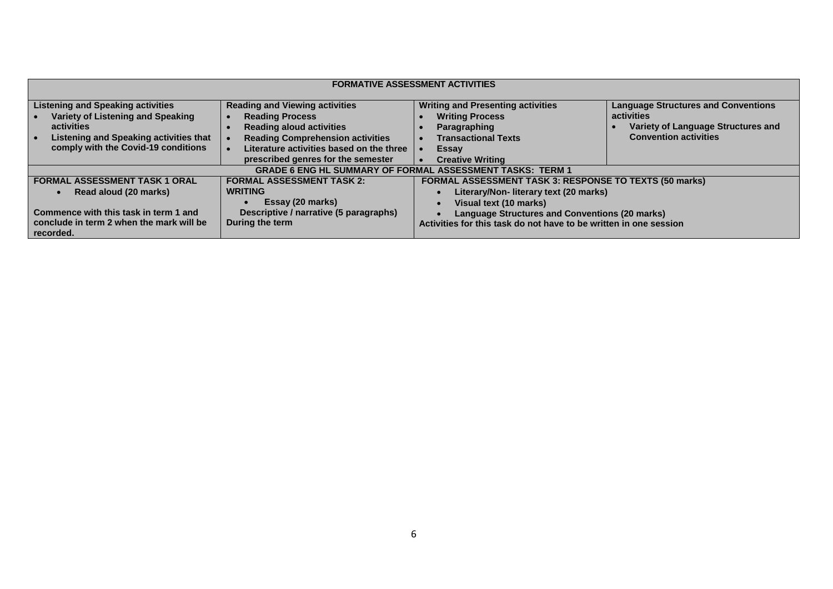| <b>FORMATIVE ASSESSMENT ACTIVITIES</b>                                                                                                                                                                                                                                                                                                                                                                                 |  |                                                                                                                                                                                                                                                          |                                                                                                                                |  |  |
|------------------------------------------------------------------------------------------------------------------------------------------------------------------------------------------------------------------------------------------------------------------------------------------------------------------------------------------------------------------------------------------------------------------------|--|----------------------------------------------------------------------------------------------------------------------------------------------------------------------------------------------------------------------------------------------------------|--------------------------------------------------------------------------------------------------------------------------------|--|--|
| <b>Listening and Speaking activities</b><br><b>Reading and Viewing activities</b><br>Variety of Listening and Speaking<br><b>Reading Process</b><br>activities<br><b>Reading aloud activities</b><br><b>Listening and Speaking activities that</b><br><b>Reading Comprehension activities</b><br>comply with the Covid-19 conditions<br>Literature activities based on the three<br>prescribed genres for the semester |  | <b>Writing and Presenting activities</b><br><b>Writing Process</b><br>Paragraphing<br><b>Transactional Texts</b><br>Essay<br><b>Creative Writing</b>                                                                                                     | <b>Language Structures and Conventions</b><br>activities<br>Variety of Language Structures and<br><b>Convention activities</b> |  |  |
|                                                                                                                                                                                                                                                                                                                                                                                                                        |  | <b>GRADE 6 ENG HL SUMMARY OF FORMAL ASSESSMENT TASKS: TERM 1</b>                                                                                                                                                                                         |                                                                                                                                |  |  |
| <b>FORMAL ASSESSMENT TASK 2:</b><br><b>FORMAL ASSESSMENT TASK 1 ORAL</b><br><b>WRITING</b><br>Read aloud (20 marks)<br>Essay (20 marks)<br>Descriptive / narrative (5 paragraphs)<br>Commence with this task in term 1 and<br>During the term<br>conclude in term 2 when the mark will be<br>recorded.                                                                                                                 |  | FORMAL ASSESSMENT TASK 3: RESPONSE TO TEXTS (50 marks)<br>Literary/Non- literary text (20 marks)<br>Visual text (10 marks)<br><b>Language Structures and Conventions (20 marks)</b><br>Activities for this task do not have to be written in one session |                                                                                                                                |  |  |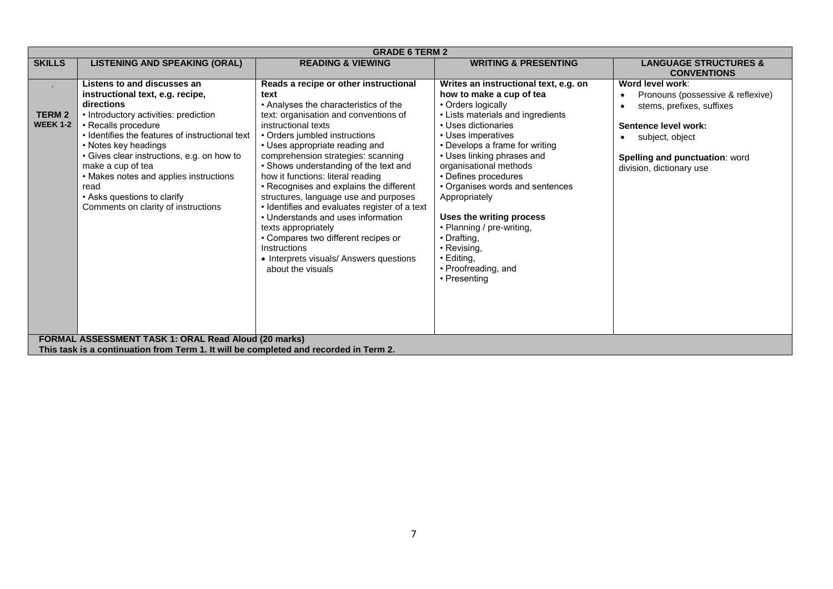|                                           | <b>GRADE 6 TERM 2</b>                                                                                                                                                                                                                                                                                                                                                                                                                                                       |                                                                                                                                                                                                                                                                                                                                                                                                                                                                                                                                                                                                                                                                        |                                                                                                                                                                                                                                                                                                                                                                                                                                                                                             |                                                                                                                                                                                             |  |  |  |
|-------------------------------------------|-----------------------------------------------------------------------------------------------------------------------------------------------------------------------------------------------------------------------------------------------------------------------------------------------------------------------------------------------------------------------------------------------------------------------------------------------------------------------------|------------------------------------------------------------------------------------------------------------------------------------------------------------------------------------------------------------------------------------------------------------------------------------------------------------------------------------------------------------------------------------------------------------------------------------------------------------------------------------------------------------------------------------------------------------------------------------------------------------------------------------------------------------------------|---------------------------------------------------------------------------------------------------------------------------------------------------------------------------------------------------------------------------------------------------------------------------------------------------------------------------------------------------------------------------------------------------------------------------------------------------------------------------------------------|---------------------------------------------------------------------------------------------------------------------------------------------------------------------------------------------|--|--|--|
| <b>SKILLS</b>                             | <b>LISTENING AND SPEAKING (ORAL)</b>                                                                                                                                                                                                                                                                                                                                                                                                                                        | <b>READING &amp; VIEWING</b>                                                                                                                                                                                                                                                                                                                                                                                                                                                                                                                                                                                                                                           | <b>WRITING &amp; PRESENTING</b>                                                                                                                                                                                                                                                                                                                                                                                                                                                             | <b>LANGUAGE STRUCTURES &amp;</b><br><b>CONVENTIONS</b>                                                                                                                                      |  |  |  |
| $\sim$<br><b>TERM2</b><br><b>WEEK 1-2</b> | Listens to and discusses an<br>instructional text, e.g. recipe,<br>directions<br>• Introductory activities: prediction<br>• Recalls procedure<br>• Identifies the features of instructional text<br>• Notes key headings<br>• Gives clear instructions, e.g. on how to<br>make a cup of tea<br>• Makes notes and applies instructions<br>read<br>• Asks questions to clarify<br>Comments on clarity of instructions<br>FORMAL ASSESSMENT TASK 1: ORAL Read Aloud (20 marks) | Reads a recipe or other instructional<br>text<br>• Analyses the characteristics of the<br>text: organisation and conventions of<br>instructional texts<br>• Orders jumbled instructions<br>• Uses appropriate reading and<br>comprehension strategies: scanning<br>• Shows understanding of the text and<br>how it functions: literal reading<br>• Recognises and explains the different<br>structures, language use and purposes<br>• Identifies and evaluates register of a text<br>• Understands and uses information<br>texts appropriately<br>• Compares two different recipes or<br>Instructions<br>• Interprets visuals/ Answers questions<br>about the visuals | Writes an instructional text, e.g. on<br>how to make a cup of tea<br>• Orders logically<br>• Lists materials and ingredients<br>• Uses dictionaries<br>• Uses imperatives<br>• Develops a frame for writing<br>• Uses linking phrases and<br>organisational methods<br>• Defines procedures<br>• Organises words and sentences<br>Appropriately<br>Uses the writing process<br>• Planning / pre-writing,<br>• Drafting.<br>• Revising,<br>• Editing,<br>• Proofreading, and<br>• Presenting | Word level work:<br>Pronouns (possessive & reflexive)<br>stems, prefixes, suffixes<br>Sentence level work:<br>subject, object<br>Spelling and punctuation: word<br>division, dictionary use |  |  |  |
|                                           | This task is a continuation from Term 1. It will be completed and recorded in Term 2.                                                                                                                                                                                                                                                                                                                                                                                       |                                                                                                                                                                                                                                                                                                                                                                                                                                                                                                                                                                                                                                                                        |                                                                                                                                                                                                                                                                                                                                                                                                                                                                                             |                                                                                                                                                                                             |  |  |  |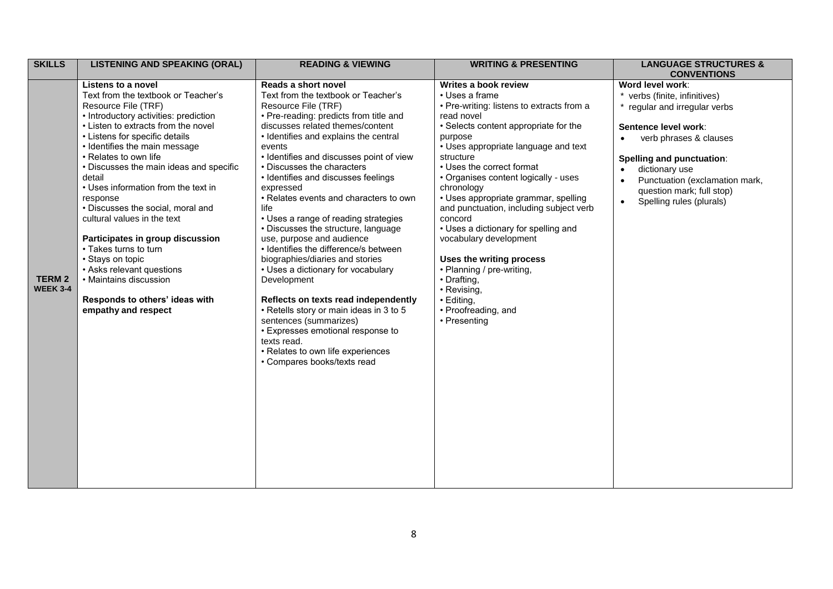| <b>SKILLS</b>                    | <b>LISTENING AND SPEAKING (ORAL)</b>                                                                                                                                                                                                                                                                                                                                                                                                                                                                         | <b>READING &amp; VIEWING</b>                                                                                                                                                                                                                                                                                                                                                                                                                                                                                                                                                                                                                                                                                                                          | <b>WRITING &amp; PRESENTING</b>                                                                                                                                                                                                                                                                                                                                                                                                                                                                            | <b>LANGUAGE STRUCTURES &amp;</b><br><b>CONVENTIONS</b>                                                                                                                                                |
|----------------------------------|--------------------------------------------------------------------------------------------------------------------------------------------------------------------------------------------------------------------------------------------------------------------------------------------------------------------------------------------------------------------------------------------------------------------------------------------------------------------------------------------------------------|-------------------------------------------------------------------------------------------------------------------------------------------------------------------------------------------------------------------------------------------------------------------------------------------------------------------------------------------------------------------------------------------------------------------------------------------------------------------------------------------------------------------------------------------------------------------------------------------------------------------------------------------------------------------------------------------------------------------------------------------------------|------------------------------------------------------------------------------------------------------------------------------------------------------------------------------------------------------------------------------------------------------------------------------------------------------------------------------------------------------------------------------------------------------------------------------------------------------------------------------------------------------------|-------------------------------------------------------------------------------------------------------------------------------------------------------------------------------------------------------|
|                                  | Listens to a novel<br>Text from the textbook or Teacher's<br>Resource File (TRF)<br>• Introductory activities: prediction                                                                                                                                                                                                                                                                                                                                                                                    | Reads a short novel<br>Text from the textbook or Teacher's<br>Resource File (TRF)<br>• Pre-reading: predicts from title and                                                                                                                                                                                                                                                                                                                                                                                                                                                                                                                                                                                                                           | Writes a book review<br>• Uses a frame<br>• Pre-writing: listens to extracts from a<br>read novel                                                                                                                                                                                                                                                                                                                                                                                                          | Word level work:<br>* verbs (finite, infinitives)<br>regular and irregular verbs                                                                                                                      |
| <b>TERM 2</b><br><b>WEEK 3-4</b> | • Listen to extracts from the novel<br>• Listens for specific details<br>• Identifies the main message<br>• Relates to own life<br>• Discusses the main ideas and specific<br>detail<br>• Uses information from the text in<br>response<br>• Discusses the social, moral and<br>cultural values in the text<br>Participates in group discussion<br>• Takes turns to turn<br>• Stays on topic<br>• Asks relevant questions<br>• Maintains discussion<br>Responds to others' ideas with<br>empathy and respect | discusses related themes/content<br>• Identifies and explains the central<br>events<br>• Identifies and discusses point of view<br>• Discusses the characters<br>• Identifies and discusses feelings<br>expressed<br>• Relates events and characters to own<br>life<br>• Uses a range of reading strategies<br>• Discusses the structure, language<br>use, purpose and audience<br>• Identifies the difference/s between<br>biographies/diaries and stories<br>• Uses a dictionary for vocabulary<br>Development<br>Reflects on texts read independently<br>• Retells story or main ideas in 3 to 5<br>sentences (summarizes)<br>• Expresses emotional response to<br>texts read.<br>• Relates to own life experiences<br>• Compares books/texts read | • Selects content appropriate for the<br>purpose<br>• Uses appropriate language and text<br>structure<br>• Uses the correct format<br>• Organises content logically - uses<br>chronology<br>• Uses appropriate grammar, spelling<br>and punctuation, including subject verb<br>concord<br>• Uses a dictionary for spelling and<br>vocabulary development<br>Uses the writing process<br>• Planning / pre-writing,<br>• Drafting,<br>• Revising,<br>$\cdot$ Editing,<br>• Proofreading, and<br>• Presenting | Sentence level work:<br>verb phrases & clauses<br>Spelling and punctuation:<br>dictionary use<br>Punctuation (exclamation mark,<br>question mark; full stop)<br>Spelling rules (plurals)<br>$\bullet$ |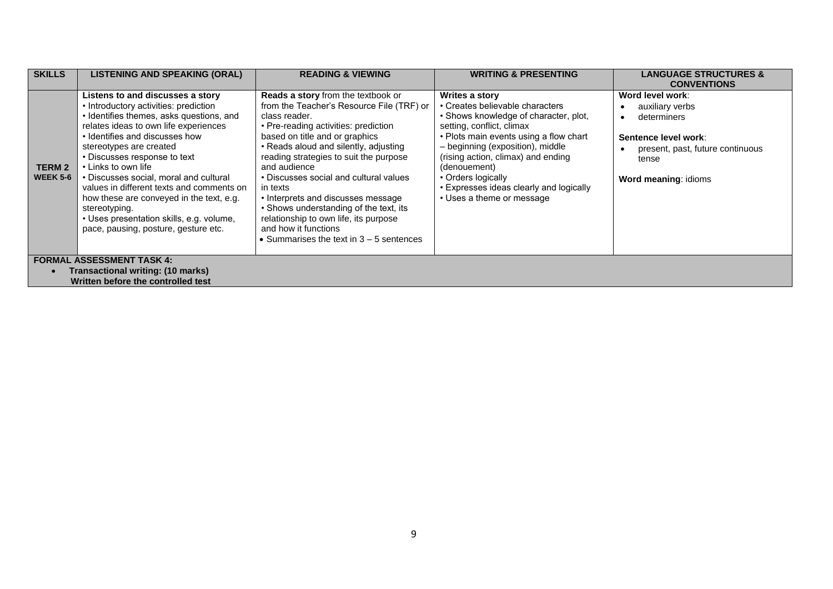| <b>SKILLS</b>                     | <b>LISTENING AND SPEAKING (ORAL)</b>                                                                                                                                                                                                                                                                                                                                                                                                                                                                                       | <b>READING &amp; VIEWING</b>                                                                                                                                                                                                                                                                                                                                                                                                                                                                                                              | <b>WRITING &amp; PRESENTING</b>                                                                                                                                                                                                                                                                                                                           | <b>LANGUAGE STRUCTURES &amp;</b>                                                                                                                |  |
|-----------------------------------|----------------------------------------------------------------------------------------------------------------------------------------------------------------------------------------------------------------------------------------------------------------------------------------------------------------------------------------------------------------------------------------------------------------------------------------------------------------------------------------------------------------------------|-------------------------------------------------------------------------------------------------------------------------------------------------------------------------------------------------------------------------------------------------------------------------------------------------------------------------------------------------------------------------------------------------------------------------------------------------------------------------------------------------------------------------------------------|-----------------------------------------------------------------------------------------------------------------------------------------------------------------------------------------------------------------------------------------------------------------------------------------------------------------------------------------------------------|-------------------------------------------------------------------------------------------------------------------------------------------------|--|
|                                   |                                                                                                                                                                                                                                                                                                                                                                                                                                                                                                                            |                                                                                                                                                                                                                                                                                                                                                                                                                                                                                                                                           |                                                                                                                                                                                                                                                                                                                                                           | <b>CONVENTIONS</b>                                                                                                                              |  |
| TERM 2<br><b>WEEK 5-6</b>         | Listens to and discusses a story<br>• Introductory activities: prediction<br>• Identifies themes, asks questions, and<br>relates ideas to own life experiences<br>• Identifies and discusses how<br>stereotypes are created<br>• Discusses response to text<br>• Links to own life<br>• Discusses social, moral and cultural<br>values in different texts and comments on<br>how these are conveyed in the text, e.g.<br>stereotyping.<br>• Uses presentation skills, e.g. volume,<br>pace, pausing, posture, gesture etc. | <b>Reads a story from the textbook or</b><br>from the Teacher's Resource File (TRF) or<br>class reader.<br>• Pre-reading activities: prediction<br>based on title and or graphics<br>• Reads aloud and silently, adjusting<br>reading strategies to suit the purpose<br>and audience<br>• Discusses social and cultural values<br>in texts<br>• Interprets and discusses message<br>• Shows understanding of the text, its<br>relationship to own life, its purpose<br>and how it functions<br>• Summarises the text in $3 - 5$ sentences | Writes a story<br>• Creates believable characters<br>• Shows knowledge of character, plot,<br>setting, conflict, climax<br>• Plots main events using a flow chart<br>- beginning (exposition), middle<br>(rising action, climax) and ending<br>(denouement)<br>• Orders logically<br>• Expresses ideas clearly and logically<br>• Uses a theme or message | Word level work:<br>auxiliary verbs<br>determiners<br>Sentence level work:<br>present, past, future continuous<br>tense<br>Word meaning: idioms |  |
| <b>FORMAL ASSESSMENT TASK 4:</b>  |                                                                                                                                                                                                                                                                                                                                                                                                                                                                                                                            |                                                                                                                                                                                                                                                                                                                                                                                                                                                                                                                                           |                                                                                                                                                                                                                                                                                                                                                           |                                                                                                                                                 |  |
| Transactional writing: (10 marks) |                                                                                                                                                                                                                                                                                                                                                                                                                                                                                                                            |                                                                                                                                                                                                                                                                                                                                                                                                                                                                                                                                           |                                                                                                                                                                                                                                                                                                                                                           |                                                                                                                                                 |  |
|                                   | Written before the controlled test                                                                                                                                                                                                                                                                                                                                                                                                                                                                                         |                                                                                                                                                                                                                                                                                                                                                                                                                                                                                                                                           |                                                                                                                                                                                                                                                                                                                                                           |                                                                                                                                                 |  |
|                                   |                                                                                                                                                                                                                                                                                                                                                                                                                                                                                                                            |                                                                                                                                                                                                                                                                                                                                                                                                                                                                                                                                           |                                                                                                                                                                                                                                                                                                                                                           |                                                                                                                                                 |  |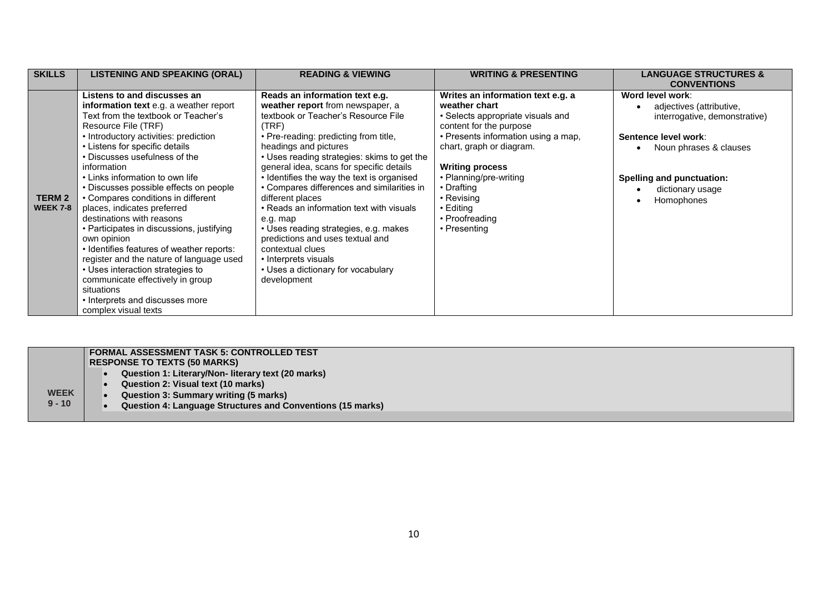| <b>SKILLS</b>                   | <b>LISTENING AND SPEAKING (ORAL)</b>                                                                                                                                                                                                                                                                                                                                                                                                                                                                                                                                                                                                                                                                                                                | <b>READING &amp; VIEWING</b>                                                                                                                                                                                                                                                                                                                                                                                                                                                                                                                                                                                                          | <b>WRITING &amp; PRESENTING</b>                                                                                                                                                                                                                                                                                            | <b>LANGUAGE STRUCTURES &amp;</b><br><b>CONVENTIONS</b>                                                                                                                                                |
|---------------------------------|-----------------------------------------------------------------------------------------------------------------------------------------------------------------------------------------------------------------------------------------------------------------------------------------------------------------------------------------------------------------------------------------------------------------------------------------------------------------------------------------------------------------------------------------------------------------------------------------------------------------------------------------------------------------------------------------------------------------------------------------------------|---------------------------------------------------------------------------------------------------------------------------------------------------------------------------------------------------------------------------------------------------------------------------------------------------------------------------------------------------------------------------------------------------------------------------------------------------------------------------------------------------------------------------------------------------------------------------------------------------------------------------------------|----------------------------------------------------------------------------------------------------------------------------------------------------------------------------------------------------------------------------------------------------------------------------------------------------------------------------|-------------------------------------------------------------------------------------------------------------------------------------------------------------------------------------------------------|
| <b>TERM2</b><br><b>WEEK 7-8</b> | Listens to and discusses an<br>information text e.g. a weather report<br>Text from the textbook or Teacher's<br>Resource File (TRF)<br>• Introductory activities: prediction<br>• Listens for specific details<br>• Discusses usefulness of the<br>information<br>• Links information to own life<br>• Discusses possible effects on people<br>• Compares conditions in different<br>places, indicates preferred<br>destinations with reasons<br>• Participates in discussions, justifying<br>own opinion<br>• Identifies features of weather reports:<br>register and the nature of language used<br>• Uses interaction strategies to<br>communicate effectively in group<br>situations<br>• Interprets and discusses more<br>complex visual texts | Reads an information text e.g.<br>weather report from newspaper, a<br>textbook or Teacher's Resource File<br>(TRF)<br>• Pre-reading: predicting from title,<br>headings and pictures<br>• Uses reading strategies: skims to get the<br>general idea, scans for specific details<br>• Identifies the way the text is organised<br>• Compares differences and similarities in<br>different places<br>• Reads an information text with visuals<br>e.g. map<br>• Uses reading strategies, e.g. makes<br>predictions and uses textual and<br>contextual clues<br>• Interprets visuals<br>• Uses a dictionary for vocabulary<br>development | Writes an information text e.g. a<br>weather chart<br>• Selects appropriate visuals and<br>content for the purpose<br>• Presents information using a map,<br>chart, graph or diagram.<br><b>Writing process</b><br>• Planning/pre-writing<br>• Drafting<br>$\cdot$ Revising<br>• Editing<br>• Proofreading<br>• Presenting | Word level work:<br>adjectives (attributive,<br>interrogative, demonstrative)<br>Sentence level work:<br>Noun phrases & clauses<br><b>Spelling and punctuation:</b><br>dictionary usage<br>Homophones |

|             | <b>FORMAL ASSESSMENT TASK 5: CONTROLLED TEST</b>                  |
|-------------|-------------------------------------------------------------------|
|             | <b>RESPONSE TO TEXTS (50 MARKS)</b>                               |
|             | Question 1: Literary/Non- literary text (20 marks)                |
|             | Question 2: Visual text (10 marks)                                |
| <b>WEEK</b> | Question 3: Summary writing (5 marks)                             |
| $9 - 10$    | <b>Question 4: Language Structures and Conventions (15 marks)</b> |
|             |                                                                   |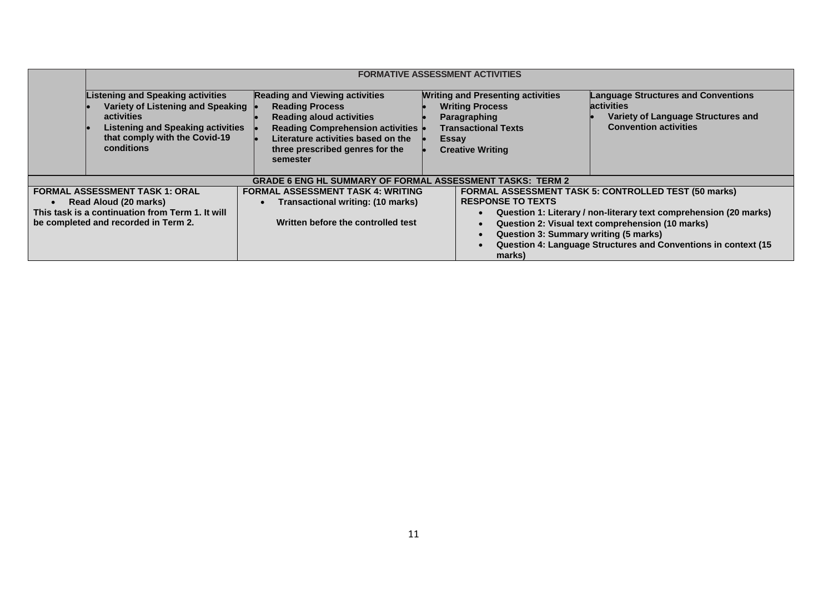|                                                                                                                                                            | <b>FORMATIVE ASSESSMENT ACTIVITIES</b>                                                                                                                                                 |                                                                                                                                                                                                                                    |                                                                                                                                                             |                                                                                                                                                                                                                                                        |
|------------------------------------------------------------------------------------------------------------------------------------------------------------|----------------------------------------------------------------------------------------------------------------------------------------------------------------------------------------|------------------------------------------------------------------------------------------------------------------------------------------------------------------------------------------------------------------------------------|-------------------------------------------------------------------------------------------------------------------------------------------------------------|--------------------------------------------------------------------------------------------------------------------------------------------------------------------------------------------------------------------------------------------------------|
|                                                                                                                                                            | <b>Listening and Speaking activities</b><br>Variety of Listening and Speaking<br>activities<br><b>Listening and Speaking activities</b><br>that comply with the Covid-19<br>conditions | <b>Reading and Viewing activities</b><br><b>Reading Process</b><br><b>Reading aloud activities</b><br><b>Reading Comprehension activities</b><br>Literature activities based on the<br>three prescribed genres for the<br>semester | <b>Writing and Presenting activities</b><br><b>Writing Process</b><br>Paragraphing<br><b>Transactional Texts</b><br><b>Essay</b><br><b>Creative Writing</b> | <b>Language Structures and Conventions</b><br><b>activities</b><br>Variety of Language Structures and<br><b>Convention activities</b>                                                                                                                  |
|                                                                                                                                                            |                                                                                                                                                                                        | <b>GRADE 6 ENG HL SUMMARY OF FORMAL ASSESSMENT TASKS: TERM 2</b>                                                                                                                                                                   |                                                                                                                                                             |                                                                                                                                                                                                                                                        |
| <b>FORMAL ASSESSMENT TASK 1: ORAL</b><br>Read Aloud (20 marks)<br>This task is a continuation from Term 1. It will<br>be completed and recorded in Term 2. |                                                                                                                                                                                        | <b>FORMAL ASSESSMENT TASK 4: WRITING</b><br>Transactional writing: (10 marks)<br>Written before the controlled test                                                                                                                | <b>RESPONSE TO TEXTS</b><br>Question 3: Summary writing (5 marks)<br>marks)                                                                                 | <b>FORMAL ASSESSMENT TASK 5: CONTROLLED TEST (50 marks)</b><br>Question 1: Literary / non-literary text comprehension (20 marks)<br>Question 2: Visual text comprehension (10 marks)<br>Question 4: Language Structures and Conventions in context (15 |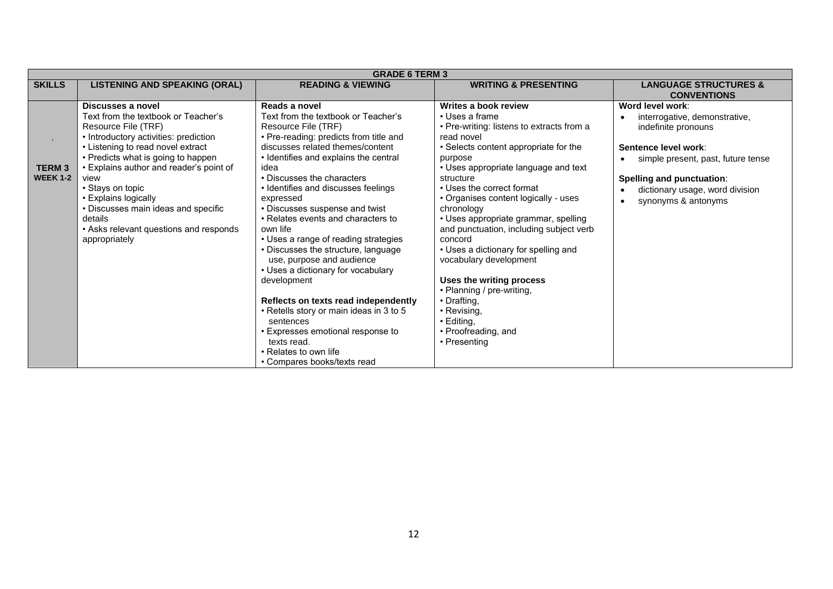|                                 | <b>GRADE 6 TERM 3</b>                                                                                                                                                                                                                                                                                                                                                                                           |                                                                                                                                                                                                                                                                                                                                                                                                                                                                                                                                                                                                                                                                                                                                                               |                                                                                                                                                                                                                                                                                                                                                                                                                                                                                                                                                                                                                 |                                                                                                                                                                                                                               |  |  |
|---------------------------------|-----------------------------------------------------------------------------------------------------------------------------------------------------------------------------------------------------------------------------------------------------------------------------------------------------------------------------------------------------------------------------------------------------------------|---------------------------------------------------------------------------------------------------------------------------------------------------------------------------------------------------------------------------------------------------------------------------------------------------------------------------------------------------------------------------------------------------------------------------------------------------------------------------------------------------------------------------------------------------------------------------------------------------------------------------------------------------------------------------------------------------------------------------------------------------------------|-----------------------------------------------------------------------------------------------------------------------------------------------------------------------------------------------------------------------------------------------------------------------------------------------------------------------------------------------------------------------------------------------------------------------------------------------------------------------------------------------------------------------------------------------------------------------------------------------------------------|-------------------------------------------------------------------------------------------------------------------------------------------------------------------------------------------------------------------------------|--|--|
| <b>SKILLS</b>                   | <b>LISTENING AND SPEAKING (ORAL)</b>                                                                                                                                                                                                                                                                                                                                                                            | <b>READING &amp; VIEWING</b>                                                                                                                                                                                                                                                                                                                                                                                                                                                                                                                                                                                                                                                                                                                                  | <b>WRITING &amp; PRESENTING</b>                                                                                                                                                                                                                                                                                                                                                                                                                                                                                                                                                                                 | <b>LANGUAGE STRUCTURES &amp;</b><br><b>CONVENTIONS</b>                                                                                                                                                                        |  |  |
| <b>TERM3</b><br><b>WEEK 1-2</b> | Discusses a novel<br>Text from the textbook or Teacher's<br>Resource File (TRF)<br>• Introductory activities: prediction<br>• Listening to read novel extract<br>• Predicts what is going to happen<br>• Explains author and reader's point of<br>view<br>• Stays on topic<br>• Explains logically<br>• Discusses main ideas and specific<br>details<br>• Asks relevant questions and responds<br>appropriately | Reads a novel<br>Text from the textbook or Teacher's<br>Resource File (TRF)<br>• Pre-reading: predicts from title and<br>discusses related themes/content<br>• Identifies and explains the central<br>idea<br>• Discusses the characters<br>• Identifies and discusses feelings<br>expressed<br>• Discusses suspense and twist<br>• Relates events and characters to<br>own life<br>• Uses a range of reading strategies<br>• Discusses the structure, language<br>use, purpose and audience<br>• Uses a dictionary for vocabulary<br>development<br>Reflects on texts read independently<br>• Retells story or main ideas in 3 to 5<br>sentences<br>• Expresses emotional response to<br>texts read.<br>• Relates to own life<br>• Compares books/texts read | Writes a book review<br>• Uses a frame<br>• Pre-writing: listens to extracts from a<br>read novel<br>• Selects content appropriate for the<br>purpose<br>• Uses appropriate language and text<br>structure<br>• Uses the correct format<br>• Organises content logically - uses<br>chronology<br>• Uses appropriate grammar, spelling<br>and punctuation, including subject verb<br>concord<br>• Uses a dictionary for spelling and<br>vocabulary development<br>Uses the writing process<br>• Planning / pre-writing,<br>• Drafting,<br>• Revising,<br>$\cdot$ Editing,<br>• Proofreading, and<br>• Presenting | Word level work:<br>interrogative, demonstrative,<br>indefinite pronouns<br>Sentence level work:<br>simple present, past, future tense<br>Spelling and punctuation:<br>dictionary usage, word division<br>synonyms & antonyms |  |  |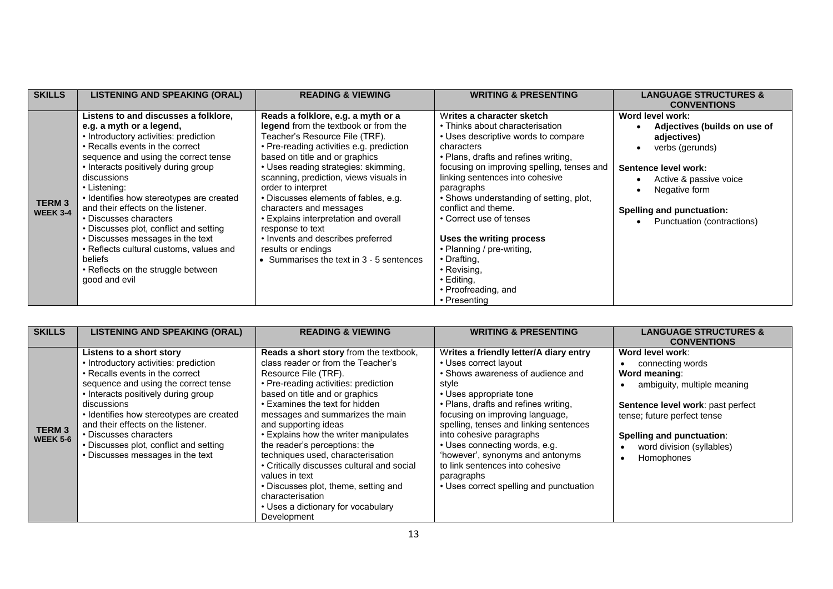| <b>SKILLS</b>                   | <b>LISTENING AND SPEAKING (ORAL)</b>                                                                                                                                                                                                                                                                                                                                                                                                                                                                                                                              | <b>READING &amp; VIEWING</b>                                                                                                                                                                                                                                                                                                                                                                                                                                                                                                                | <b>WRITING &amp; PRESENTING</b>                                                                                                                                                                                                                                                                                                                                                                                                                                                                   | <b>LANGUAGE STRUCTURES &amp;</b><br><b>CONVENTIONS</b>                                                                                                                                                                        |
|---------------------------------|-------------------------------------------------------------------------------------------------------------------------------------------------------------------------------------------------------------------------------------------------------------------------------------------------------------------------------------------------------------------------------------------------------------------------------------------------------------------------------------------------------------------------------------------------------------------|---------------------------------------------------------------------------------------------------------------------------------------------------------------------------------------------------------------------------------------------------------------------------------------------------------------------------------------------------------------------------------------------------------------------------------------------------------------------------------------------------------------------------------------------|---------------------------------------------------------------------------------------------------------------------------------------------------------------------------------------------------------------------------------------------------------------------------------------------------------------------------------------------------------------------------------------------------------------------------------------------------------------------------------------------------|-------------------------------------------------------------------------------------------------------------------------------------------------------------------------------------------------------------------------------|
| <b>TERM3</b><br><b>WEEK 3-4</b> | Listens to and discusses a folklore,<br>e.g. a myth or a legend,<br>• Introductory activities: prediction<br>• Recalls events in the correct<br>sequence and using the correct tense<br>• Interacts positively during group<br>discussions<br>• Listening:<br>• Identifies how stereotypes are created<br>and their effects on the listener.<br>• Discusses characters<br>• Discusses plot, conflict and setting<br>• Discusses messages in the text<br>• Reflects cultural customs, values and<br>beliefs<br>• Reflects on the struggle between<br>good and evil | Reads a folklore, e.g. a myth or a<br>legend from the textbook or from the<br>Teacher's Resource File (TRF).<br>• Pre-reading activities e.g. prediction<br>based on title and or graphics<br>• Uses reading strategies: skimming,<br>scanning, prediction, views visuals in<br>order to interpret<br>• Discusses elements of fables, e.g.<br>characters and messages<br>• Explains interpretation and overall<br>response to text<br>• Invents and describes preferred<br>results or endings<br>• Summarises the text in $3 - 5$ sentences | Writes a character sketch<br>• Thinks about characterisation<br>• Uses descriptive words to compare<br>characters<br>• Plans, drafts and refines writing,<br>focusing on improving spelling, tenses and<br>linking sentences into cohesive<br>paragraphs<br>• Shows understanding of setting, plot,<br>conflict and theme.<br>• Correct use of tenses<br>Uses the writing process<br>• Planning / pre-writing,<br>• Drafting,<br>• Revising,<br>• Editing,<br>• Proofreading, and<br>• Presenting | Word level work:<br>Adjectives (builds on use of<br>adjectives)<br>verbs (gerunds)<br>$\bullet$<br>Sentence level work:<br>Active & passive voice<br>Negative form<br>Spelling and punctuation:<br>Punctuation (contractions) |

| <b>SKILLS</b>                   | <b>LISTENING AND SPEAKING (ORAL)</b>                                                                                                                                                                                                                                                                                                                                                         | <b>READING &amp; VIEWING</b>                                                                                                                                                                                                                                                                                                                                                                                                                                                                                                                                                        | <b>WRITING &amp; PRESENTING</b>                                                                                                                                                                                                                                                                                                                                                                                                                            | <b>LANGUAGE STRUCTURES &amp;</b><br><b>CONVENTIONS</b>                                                                                                                                                                           |
|---------------------------------|----------------------------------------------------------------------------------------------------------------------------------------------------------------------------------------------------------------------------------------------------------------------------------------------------------------------------------------------------------------------------------------------|-------------------------------------------------------------------------------------------------------------------------------------------------------------------------------------------------------------------------------------------------------------------------------------------------------------------------------------------------------------------------------------------------------------------------------------------------------------------------------------------------------------------------------------------------------------------------------------|------------------------------------------------------------------------------------------------------------------------------------------------------------------------------------------------------------------------------------------------------------------------------------------------------------------------------------------------------------------------------------------------------------------------------------------------------------|----------------------------------------------------------------------------------------------------------------------------------------------------------------------------------------------------------------------------------|
| <b>TERM3</b><br><b>WEEK 5-6</b> | Listens to a short story<br>• Introductory activities: prediction<br>• Recalls events in the correct<br>sequence and using the correct tense<br>• Interacts positively during group<br>discussions<br>• Identifies how stereotypes are created<br>and their effects on the listener.<br>• Discusses characters<br>• Discusses plot, conflict and setting<br>• Discusses messages in the text | <b>Reads a short story from the textbook,</b><br>class reader or from the Teacher's<br>Resource File (TRF).<br>• Pre-reading activities: prediction<br>based on title and or graphics<br>• Examines the text for hidden<br>messages and summarizes the main<br>and supporting ideas<br>• Explains how the writer manipulates<br>the reader's perceptions: the<br>techniques used, characterisation<br>• Critically discusses cultural and social<br>values in text<br>• Discusses plot, theme, setting and<br>characterisation<br>• Uses a dictionary for vocabulary<br>Development | Writes a friendly letter/A diary entry<br>• Uses correct layout<br>• Shows awareness of audience and<br>style<br>• Uses appropriate tone<br>• Plans, drafts and refines writing,<br>focusing on improving language,<br>spelling, tenses and linking sentences<br>into cohesive paragraphs<br>• Uses connecting words, e.g.<br>'however', synonyms and antonyms<br>to link sentences into cohesive<br>paragraphs<br>• Uses correct spelling and punctuation | Word level work:<br>connecting words<br>Word meaning:<br>ambiguity, multiple meaning<br>Sentence level work: past perfect<br>tense; future perfect tense<br>Spelling and punctuation:<br>word division (syllables)<br>Homophones |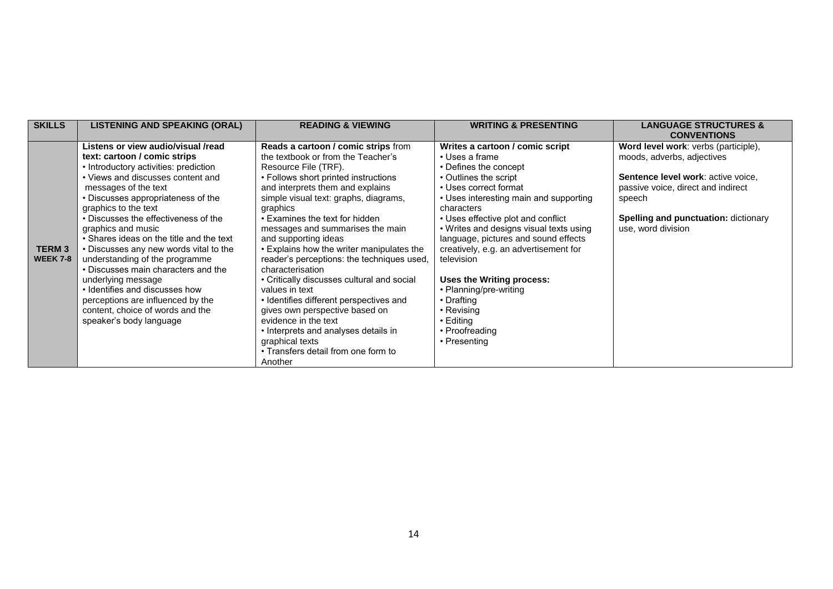| <b>SKILLS</b>   | <b>LISTENING AND SPEAKING (ORAL)</b>     | <b>READING &amp; VIEWING</b>               | <b>WRITING &amp; PRESENTING</b>         | <b>LANGUAGE STRUCTURES &amp;</b>     |
|-----------------|------------------------------------------|--------------------------------------------|-----------------------------------------|--------------------------------------|
|                 |                                          |                                            |                                         | <b>CONVENTIONS</b>                   |
|                 | Listens or view audio/visual /read       | Reads a cartoon / comic strips from        | Writes a cartoon / comic script         | Word level work: verbs (participle), |
|                 | text: cartoon / comic strips             | the textbook or from the Teacher's         | • Uses a frame                          | moods, adverbs, adjectives           |
|                 | • Introductory activities: prediction    | Resource File (TRF).                       | • Defines the concept                   |                                      |
|                 | • Views and discusses content and        | • Follows short printed instructions       | • Outlines the script                   | Sentence level work: active voice,   |
|                 | messages of the text                     | and interprets them and explains           | • Uses correct format                   | passive voice, direct and indirect   |
|                 | • Discusses appropriateness of the       | simple visual text: graphs, diagrams,      | • Uses interesting main and supporting  | speech                               |
|                 | graphics to the text                     | graphics                                   | characters                              |                                      |
|                 | • Discusses the effectiveness of the     | • Examines the text for hidden             | • Uses effective plot and conflict      | Spelling and punctuation: dictionary |
|                 | graphics and music                       | messages and summarises the main           | • Writes and designs visual texts using | use, word division                   |
|                 | • Shares ideas on the title and the text | and supporting ideas                       | language, pictures and sound effects    |                                      |
| <b>TERM3</b>    | • Discusses any new words vital to the   | • Explains how the writer manipulates the  | creatively, e.g. an advertisement for   |                                      |
| <b>WEEK 7-8</b> | understanding of the programme           | reader's perceptions: the techniques used, | television                              |                                      |
|                 | • Discusses main characters and the      | characterisation                           |                                         |                                      |
|                 | underlying message                       | • Critically discusses cultural and social | Uses the Writing process:               |                                      |
|                 | • Identifies and discusses how           | values in text                             | • Planning/pre-writing                  |                                      |
|                 | perceptions are influenced by the        | • Identifies different perspectives and    | • Drafting                              |                                      |
|                 | content, choice of words and the         | gives own perspective based on             | $\cdot$ Revising                        |                                      |
|                 | speaker's body language                  | evidence in the text                       | • Editing                               |                                      |
|                 |                                          | • Interprets and analyses details in       | • Proofreading                          |                                      |
|                 |                                          | graphical texts                            | • Presenting                            |                                      |
|                 |                                          | • Transfers detail from one form to        |                                         |                                      |
|                 |                                          | Another                                    |                                         |                                      |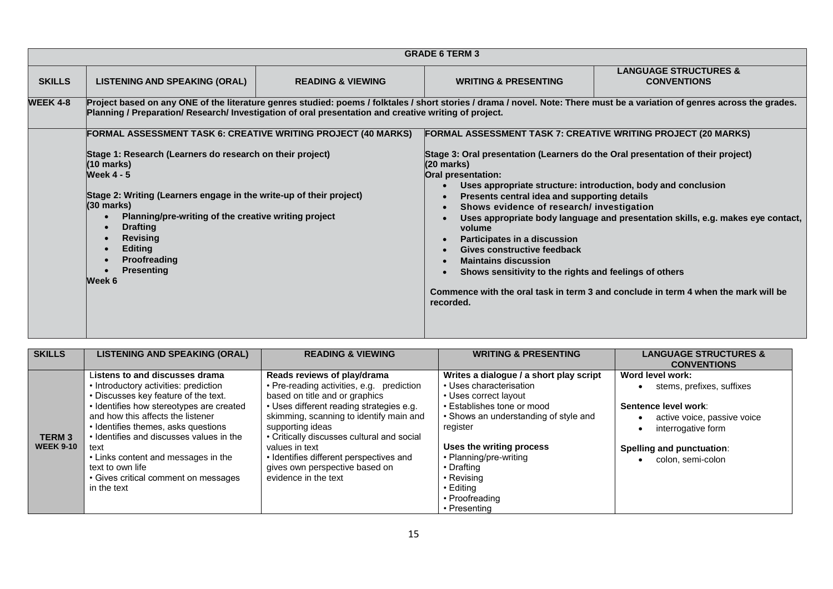|                 |                                                                                                                                                                                                                                                                                                                                                                                                                                    |                              | <b>GRADE 6 TERM 3</b>                                                                                                                                                                                                                                                                                                                                                                                     |                                                                                                                                                                                                                                        |  |
|-----------------|------------------------------------------------------------------------------------------------------------------------------------------------------------------------------------------------------------------------------------------------------------------------------------------------------------------------------------------------------------------------------------------------------------------------------------|------------------------------|-----------------------------------------------------------------------------------------------------------------------------------------------------------------------------------------------------------------------------------------------------------------------------------------------------------------------------------------------------------------------------------------------------------|----------------------------------------------------------------------------------------------------------------------------------------------------------------------------------------------------------------------------------------|--|
| <b>SKILLS</b>   | <b>LISTENING AND SPEAKING (ORAL)</b>                                                                                                                                                                                                                                                                                                                                                                                               | <b>READING &amp; VIEWING</b> | <b>WRITING &amp; PRESENTING</b>                                                                                                                                                                                                                                                                                                                                                                           | <b>LANGUAGE STRUCTURES &amp;</b><br><b>CONVENTIONS</b>                                                                                                                                                                                 |  |
| <b>WEEK 4-8</b> | Project based on any ONE of the literature genres studied: poems / folktales / short stories / drama / novel. Note: There must be a variation of genres across the grades.<br>Planning / Preparation/ Research/ Investigation of oral presentation and creative writing of project.                                                                                                                                                |                              |                                                                                                                                                                                                                                                                                                                                                                                                           |                                                                                                                                                                                                                                        |  |
|                 | FORMAL ASSESSMENT TASK 6: CREATIVE WRITING PROJECT (40 MARKS)                                                                                                                                                                                                                                                                                                                                                                      |                              | <b>FORMAL ASSESSMENT TASK 7: CREATIVE WRITING PROJECT (20 MARKS)</b>                                                                                                                                                                                                                                                                                                                                      |                                                                                                                                                                                                                                        |  |
|                 | Stage 1: Research (Learners do research on their project)<br>(10 marks)<br><b>Week 4 - 5</b><br>Stage 2: Writing (Learners engage in the write-up of their project)<br>$(30 \text{ marks})$<br>Planning/pre-writing of the creative writing project<br>$\bullet$<br><b>Drafting</b><br>$\bullet$<br><b>Revising</b><br>$\bullet$<br><b>Editing</b><br>$\bullet$<br><b>Proofreading</b><br>$\bullet$<br><b>Presenting</b><br>Week 6 |                              | Stage 3: Oral presentation (Learners do the Oral presentation of their project)<br>$(20 \text{ marks})$<br>Oral presentation:<br>Presents central idea and supporting details<br>Shows evidence of research/ investigation<br>volume<br>Participates in a discussion<br>Gives constructive feedback<br><b>Maintains discussion</b><br>Shows sensitivity to the rights and feelings of others<br>recorded. | Uses appropriate structure: introduction, body and conclusion<br>Uses appropriate body language and presentation skills, e.g. makes eye contact,<br>Commence with the oral task in term 3 and conclude in term 4 when the mark will be |  |

| <b>SKILLS</b>                    | <b>LISTENING AND SPEAKING (ORAL)</b>                                                                                 | <b>READING &amp; VIEWING</b>                                                                            | <b>WRITING &amp; PRESENTING</b>                                    | <b>LANGUAGE STRUCTURES &amp;</b>                  |
|----------------------------------|----------------------------------------------------------------------------------------------------------------------|---------------------------------------------------------------------------------------------------------|--------------------------------------------------------------------|---------------------------------------------------|
|                                  |                                                                                                                      |                                                                                                         |                                                                    | <b>CONVENTIONS</b>                                |
|                                  | Listens to and discusses drama<br>• Introductory activities: prediction                                              | Reads reviews of play/drama<br>• Pre-reading activities, e.g. prediction                                | Writes a dialogue / a short play script<br>• Uses characterisation | Word level work:<br>stems, prefixes, suffixes     |
|                                  | • Discusses key feature of the text.<br>• Identifies how stereotypes are created                                     | based on title and or graphics<br>• Uses different reading strategies e.g.                              | • Uses correct layout<br>• Establishes tone or mood                | Sentence level work:                              |
|                                  | and how this affects the listener<br>• Identifies themes, asks questions<br>• Identifies and discusses values in the | skimming, scanning to identify main and<br>supporting ideas                                             | • Shows an understanding of style and<br>register                  | active voice, passive voice<br>interrogative form |
| <b>TERM3</b><br><b>WEEK 9-10</b> | text<br>• Links content and messages in the                                                                          | • Critically discusses cultural and social<br>values in text<br>• Identifies different perspectives and | Uses the writing process<br>• Planning/pre-writing                 | <b>Spelling and punctuation:</b>                  |
|                                  | text to own life                                                                                                     | gives own perspective based on                                                                          | • Drafting                                                         | colon, semi-colon                                 |
|                                  | • Gives critical comment on messages<br>in the text                                                                  | evidence in the text                                                                                    | • Revising<br>• Editing                                            |                                                   |
|                                  |                                                                                                                      |                                                                                                         | • Proofreading<br>• Presenting                                     |                                                   |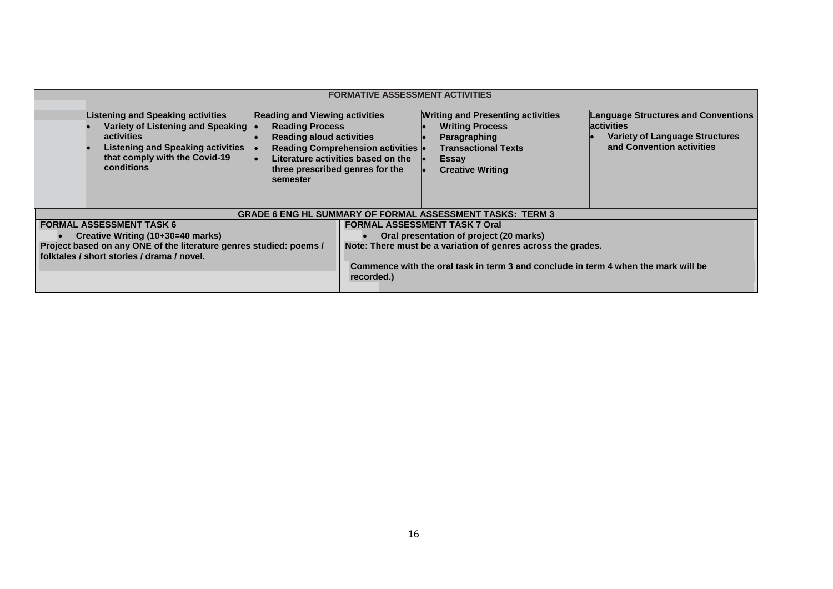|                                                                                                                  | <b>FORMATIVE ASSESSMENT ACTIVITIES</b>                                                                                                                                                 |                                                                                                                                                   |                                                                                                                                                    |                                                                                                                                                             |                                                                                                                                       |
|------------------------------------------------------------------------------------------------------------------|----------------------------------------------------------------------------------------------------------------------------------------------------------------------------------------|---------------------------------------------------------------------------------------------------------------------------------------------------|----------------------------------------------------------------------------------------------------------------------------------------------------|-------------------------------------------------------------------------------------------------------------------------------------------------------------|---------------------------------------------------------------------------------------------------------------------------------------|
|                                                                                                                  | <b>Listening and Speaking activities</b><br>Variety of Listening and Speaking<br>activities<br><b>Listening and Speaking activities</b><br>that comply with the Covid-19<br>conditions | <b>Reading and Viewing activities</b><br><b>Reading Process</b><br><b>Reading aloud activities</b><br>three prescribed genres for the<br>semester | <b>Reading Comprehension activities</b><br>Literature activities based on the                                                                      | <b>Writing and Presenting activities</b><br><b>Writing Process</b><br>Paragraphing<br><b>Transactional Texts</b><br><b>Essay</b><br><b>Creative Writing</b> | <b>Language Structures and Conventions</b><br><b>activities</b><br><b>Variety of Language Structures</b><br>and Convention activities |
|                                                                                                                  |                                                                                                                                                                                        |                                                                                                                                                   |                                                                                                                                                    | <b>GRADE 6 ENG HL SUMMARY OF FORMAL ASSESSMENT TASKS: TERM 3</b>                                                                                            |                                                                                                                                       |
|                                                                                                                  | <b>FORMAL ASSESSMENT TASK 6</b>                                                                                                                                                        |                                                                                                                                                   |                                                                                                                                                    | <b>FORMAL ASSESSMENT TASK 7 Oral</b>                                                                                                                        |                                                                                                                                       |
|                                                                                                                  | Creative Writing (10+30=40 marks)                                                                                                                                                      |                                                                                                                                                   | Oral presentation of project (20 marks)                                                                                                            |                                                                                                                                                             |                                                                                                                                       |
| Project based on any ONE of the literature genres studied: poems /<br>folktales / short stories / drama / novel. |                                                                                                                                                                                        | recorded.)                                                                                                                                        | Note: There must be a variation of genres across the grades.<br>Commence with the oral task in term 3 and conclude in term 4 when the mark will be |                                                                                                                                                             |                                                                                                                                       |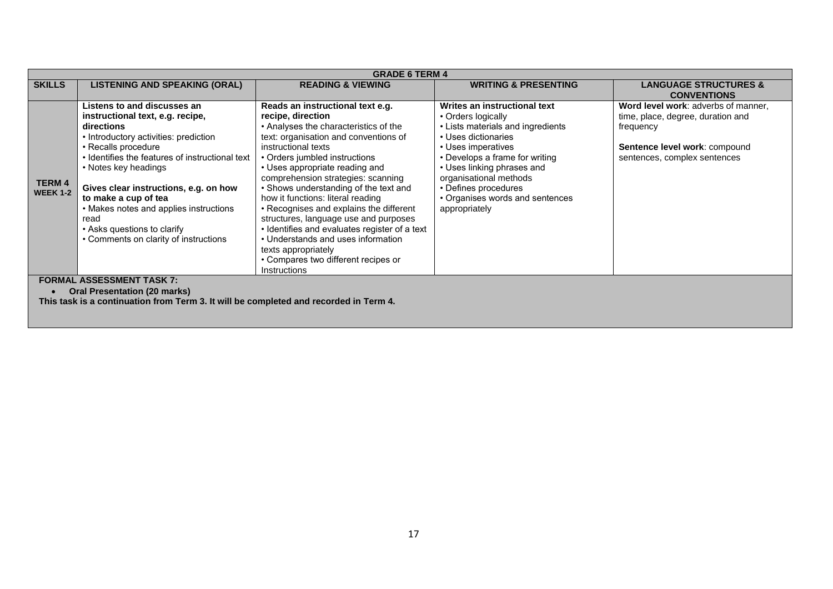|                                  | <b>GRADE 6 TERM 4</b>                                                                                                                                                                                                                                                                                                                                                                                               |                                                                                                                                                                                                                                                                                                                                                                                                                                                                                                                                                                                                                       |                                                                                                                                                                                                                                                                                                            |                                                                                                                                                        |  |  |
|----------------------------------|---------------------------------------------------------------------------------------------------------------------------------------------------------------------------------------------------------------------------------------------------------------------------------------------------------------------------------------------------------------------------------------------------------------------|-----------------------------------------------------------------------------------------------------------------------------------------------------------------------------------------------------------------------------------------------------------------------------------------------------------------------------------------------------------------------------------------------------------------------------------------------------------------------------------------------------------------------------------------------------------------------------------------------------------------------|------------------------------------------------------------------------------------------------------------------------------------------------------------------------------------------------------------------------------------------------------------------------------------------------------------|--------------------------------------------------------------------------------------------------------------------------------------------------------|--|--|
| <b>SKILLS</b>                    | <b>LISTENING AND SPEAKING (ORAL)</b>                                                                                                                                                                                                                                                                                                                                                                                | <b>READING &amp; VIEWING</b>                                                                                                                                                                                                                                                                                                                                                                                                                                                                                                                                                                                          | <b>WRITING &amp; PRESENTING</b>                                                                                                                                                                                                                                                                            | <b>LANGUAGE STRUCTURES &amp;</b>                                                                                                                       |  |  |
|                                  |                                                                                                                                                                                                                                                                                                                                                                                                                     |                                                                                                                                                                                                                                                                                                                                                                                                                                                                                                                                                                                                                       |                                                                                                                                                                                                                                                                                                            | <b>CONVENTIONS</b>                                                                                                                                     |  |  |
| <b>TERM 4</b><br><b>WEEK 1-2</b> | Listens to and discusses an<br>instructional text, e.g. recipe,<br>directions<br>• Introductory activities: prediction<br>• Recalls procedure<br>• Identifies the features of instructional text<br>• Notes key headings<br>Gives clear instructions, e.g. on how<br>to make a cup of tea<br>• Makes notes and applies instructions<br>read<br>• Asks questions to clarify<br>• Comments on clarity of instructions | Reads an instructional text e.g.<br>recipe, direction<br>• Analyses the characteristics of the<br>text: organisation and conventions of<br>instructional texts<br>• Orders jumbled instructions<br>• Uses appropriate reading and<br>comprehension strategies: scanning<br>• Shows understanding of the text and<br>how it functions: literal reading<br>• Recognises and explains the different<br>structures, language use and purposes<br>• Identifies and evaluates register of a text<br>• Understands and uses information<br>texts appropriately<br>• Compares two different recipes or<br><b>Instructions</b> | Writes an instructional text<br>• Orders logically<br>• Lists materials and ingredients<br>• Uses dictionaries<br>• Uses imperatives<br>• Develops a frame for writing<br>• Uses linking phrases and<br>organisational methods<br>• Defines procedures<br>• Organises words and sentences<br>appropriately | Word level work: adverbs of manner,<br>time, place, degree, duration and<br>frequency<br>Sentence level work: compound<br>sentences, complex sentences |  |  |
|                                  | <b>FORMAL ASSESSMENT TASK 7:</b>                                                                                                                                                                                                                                                                                                                                                                                    |                                                                                                                                                                                                                                                                                                                                                                                                                                                                                                                                                                                                                       |                                                                                                                                                                                                                                                                                                            |                                                                                                                                                        |  |  |
|                                  | <b>Oral Presentation (20 marks)</b>                                                                                                                                                                                                                                                                                                                                                                                 |                                                                                                                                                                                                                                                                                                                                                                                                                                                                                                                                                                                                                       |                                                                                                                                                                                                                                                                                                            |                                                                                                                                                        |  |  |
|                                  | This task is a continuation from Term 3. It will be completed and recorded in Term 4.                                                                                                                                                                                                                                                                                                                               |                                                                                                                                                                                                                                                                                                                                                                                                                                                                                                                                                                                                                       |                                                                                                                                                                                                                                                                                                            |                                                                                                                                                        |  |  |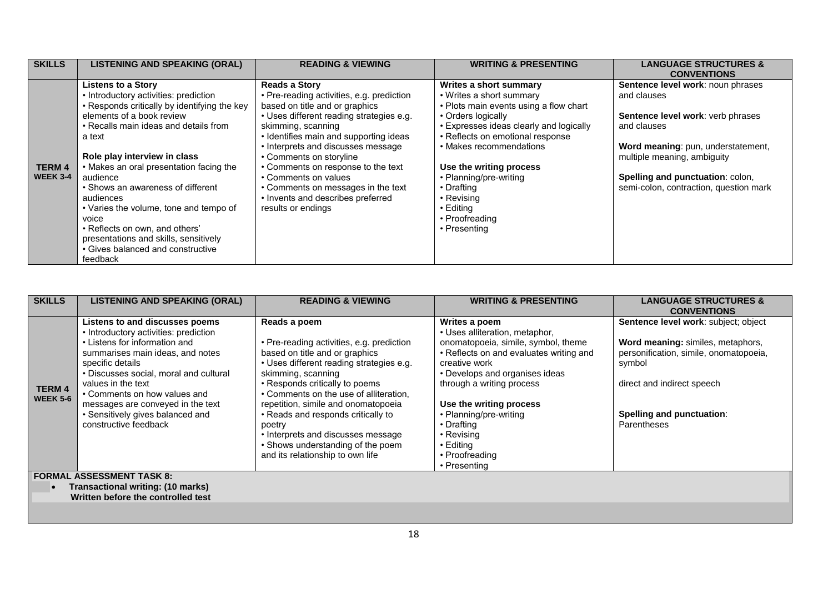| <b>SKILLS</b>                    | <b>LISTENING AND SPEAKING (ORAL)</b>                                                                                                                                                                                                                                                                                                                                                                                                                               | <b>READING &amp; VIEWING</b>                                                                                                                                                                                                                                                                                                                                                                                                                    | <b>WRITING &amp; PRESENTING</b>                                                                                                                                                                                                                                                                                                                              | <b>LANGUAGE STRUCTURES &amp;</b>                                                                                                                                                                                                                               |
|----------------------------------|--------------------------------------------------------------------------------------------------------------------------------------------------------------------------------------------------------------------------------------------------------------------------------------------------------------------------------------------------------------------------------------------------------------------------------------------------------------------|-------------------------------------------------------------------------------------------------------------------------------------------------------------------------------------------------------------------------------------------------------------------------------------------------------------------------------------------------------------------------------------------------------------------------------------------------|--------------------------------------------------------------------------------------------------------------------------------------------------------------------------------------------------------------------------------------------------------------------------------------------------------------------------------------------------------------|----------------------------------------------------------------------------------------------------------------------------------------------------------------------------------------------------------------------------------------------------------------|
|                                  |                                                                                                                                                                                                                                                                                                                                                                                                                                                                    |                                                                                                                                                                                                                                                                                                                                                                                                                                                 |                                                                                                                                                                                                                                                                                                                                                              | <b>CONVENTIONS</b>                                                                                                                                                                                                                                             |
| <b>TERM 4</b><br><b>WEEK 3-4</b> | Listens to a Story<br>• Introductory activities: prediction<br>• Responds critically by identifying the key<br>elements of a book review<br>• Recalls main ideas and details from<br>a text<br>Role play interview in class<br>• Makes an oral presentation facing the<br>audience<br>• Shows an awareness of different<br>audiences<br>• Varies the volume, tone and tempo of<br>voice<br>• Reflects on own, and others'<br>presentations and skills, sensitively | <b>Reads a Story</b><br>• Pre-reading activities, e.g. prediction<br>based on title and or graphics<br>• Uses different reading strategies e.g.<br>skimming, scanning<br>• Identifies main and supporting ideas<br>• Interprets and discusses message<br>• Comments on storyline<br>• Comments on response to the text<br>• Comments on values<br>• Comments on messages in the text<br>• Invents and describes preferred<br>results or endings | Writes a short summary<br>• Writes a short summary<br>• Plots main events using a flow chart<br>• Orders logically<br>• Expresses ideas clearly and logically<br>• Reflects on emotional response<br>• Makes recommendations<br>Use the writing process<br>• Planning/pre-writing<br>• Drafting<br>• Revising<br>• Editina<br>• Proofreading<br>• Presenting | Sentence level work: noun phrases<br>and clauses<br>Sentence level work: verb phrases<br>and clauses<br>Word meaning: pun, understatement,<br>multiple meaning, ambiguity<br><b>Spelling and punctuation: colon,</b><br>semi-colon, contraction, question mark |
|                                  | • Gives balanced and constructive<br>feedback                                                                                                                                                                                                                                                                                                                                                                                                                      |                                                                                                                                                                                                                                                                                                                                                                                                                                                 |                                                                                                                                                                                                                                                                                                                                                              |                                                                                                                                                                                                                                                                |

| <b>SKILLS</b>                    | <b>LISTENING AND SPEAKING (ORAL)</b>                                                                                                                                                                                                                                                                                                                               | <b>READING &amp; VIEWING</b>                                                                                                                                                                                                                                                                                                                                                                                                                    | <b>WRITING &amp; PRESENTING</b>                                                                                                                                                                                                                                                                                                                   | <b>LANGUAGE STRUCTURES &amp;</b><br><b>CONVENTIONS</b>                                                                                                                                                  |
|----------------------------------|--------------------------------------------------------------------------------------------------------------------------------------------------------------------------------------------------------------------------------------------------------------------------------------------------------------------------------------------------------------------|-------------------------------------------------------------------------------------------------------------------------------------------------------------------------------------------------------------------------------------------------------------------------------------------------------------------------------------------------------------------------------------------------------------------------------------------------|---------------------------------------------------------------------------------------------------------------------------------------------------------------------------------------------------------------------------------------------------------------------------------------------------------------------------------------------------|---------------------------------------------------------------------------------------------------------------------------------------------------------------------------------------------------------|
| <b>TERM 4</b><br><b>WEEK 5-6</b> | Listens to and discusses poems<br>• Introductory activities: prediction<br>• Listens for information and<br>summarises main ideas, and notes<br>specific details<br>• Discusses social, moral and cultural<br>values in the text<br>• Comments on how values and<br>messages are conveyed in the text<br>• Sensitively gives balanced and<br>constructive feedback | Reads a poem<br>• Pre-reading activities, e.g. prediction<br>based on title and or graphics<br>• Uses different reading strategies e.g.<br>skimming, scanning<br>• Responds critically to poems<br>• Comments on the use of alliteration,<br>repetition, simile and onomatopoeia<br>• Reads and responds critically to<br>poetry<br>• Interprets and discusses message<br>• Shows understanding of the poem<br>and its relationship to own life | Writes a poem<br>• Uses alliteration, metaphor,<br>onomatopoeia, simile, symbol, theme<br>• Reflects on and evaluates writing and<br>creative work<br>• Develops and organises ideas<br>through a writing process<br>Use the writing process<br>• Planning/pre-writing<br>• Drafting<br>• Revising<br>• Editing<br>• Proofreading<br>• Presenting | Sentence level work: subject; object<br>Word meaning: similes, metaphors,<br>personification, simile, onomatopoeia,<br>symbol<br>direct and indirect speech<br>Spelling and punctuation:<br>Parentheses |
|                                  | <b>FORMAL ASSESSMENT TASK 8:</b>                                                                                                                                                                                                                                                                                                                                   |                                                                                                                                                                                                                                                                                                                                                                                                                                                 |                                                                                                                                                                                                                                                                                                                                                   |                                                                                                                                                                                                         |
|                                  | Transactional writing: (10 marks)                                                                                                                                                                                                                                                                                                                                  |                                                                                                                                                                                                                                                                                                                                                                                                                                                 |                                                                                                                                                                                                                                                                                                                                                   |                                                                                                                                                                                                         |

 **Written before the controlled test**